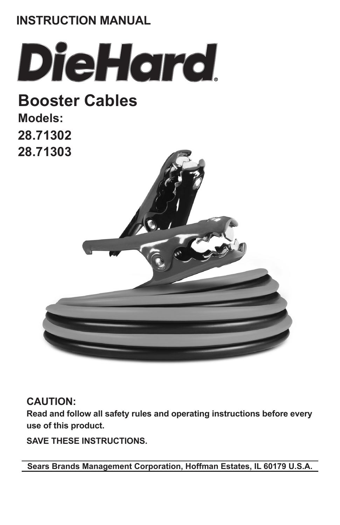# **INSTRUCTION MANUAL**



**Booster Cables Models: 28.71302 28.71303**



### **CAUTION:**

**Read and follow all safety rules and operating instructions before every use of this product.**

**SAVE THESE INSTRUCTIONS.**

**Sears Brands Management Corporation, Hoffman Estates, IL 60179 U.S.A.**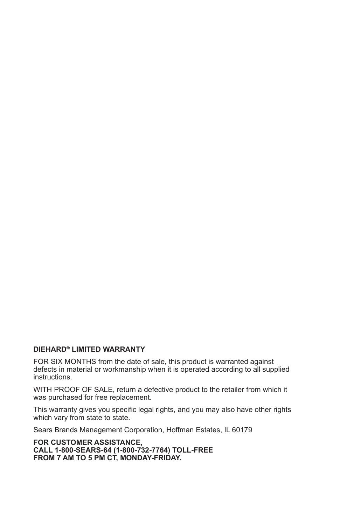#### **DIEHARD® LIMITED WARRANTY**

FOR SIX MONTHS from the date of sale, this product is warranted against defects in material or workmanship when it is operated according to all supplied instructions.

WITH PROOF OF SALE, return a defective product to the retailer from which it was purchased for free replacement.

This warranty gives you specific legal rights, and you may also have other rights which vary from state to state.

Sears Brands Management Corporation, Hoffman Estates, IL 60179

**FOR CUSTOMER ASSISTANCE, CALL 1-800-SEARS-64 (1-800-732-7764) TOLL-FREE**  FROM 7 AM TO 5 PM CT, MONDAY-FRIDAY.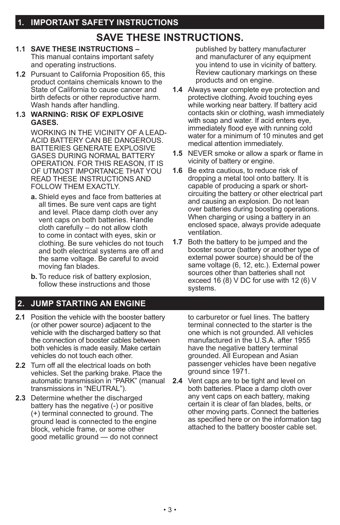### **SAVE THESE INSTRUCTIONS.**

#### **1.1 SAVE THESE INSTRUCTIONS –**  This manual contains important safety and operating instructions.

**1.2** Pursuant to California Proposition 65, this product contains chemicals known to the State of California to cause cancer and birth defects or other reproductive harm. Wash hands after handling.

#### **1.3 WARNING: RISK OF EXPLOSIVE GASES.**

WORKING IN THE VICINITY OF A LEAD-ACID BATTERY CAN BE DANGEROUS. BATTERIES GENERATE EXPLOSIVE GASES DURING NORMAL BATTERY OPERATION. FOR THIS REASON, IT IS OF UTMOST IMPORTANCE THAT YOU READ THESE INSTRUCTIONS AND FOLLOW THEM EXACTLY.

- **a.** Shield eyes and face from batteries at all times. Be sure vent caps are tight and level. Place damp cloth over any vent caps on both batteries. Handle cloth carefully – do not allow cloth to come in contact with eyes, skin or clothing. Be sure vehicles do not touch and both electrical systems are off and the same voltage. Be careful to avoid moving fan blades.
- **b.** To reduce risk of battery explosion, follow these instructions and those

### **2. JUMP STARTING AN ENGINE**

- **2.1** Position the vehicle with the booster battery (or other power source) adjacent to the vehicle with the discharged battery so that the connection of booster cables between both vehicles is made easily. Make certain vehicles do not touch each other.
- **2.2** Turn off all the electrical loads on both vehicles. Set the parking brake. Place the automatic transmission in "PARK" (manual transmissions in "NEUTRAL").
- **2.3** Determine whether the discharged battery has the negative (-) or positive (+) terminal connected to ground. The ground lead is connected to the engine block, vehicle frame, or some other good metallic ground — do not connect

published by battery manufacturer and manufacturer of any equipment you intend to use in vicinity of battery. Review cautionary markings on these products and on engine.

- **1.4** Always wear complete eye protection and protective clothing. Avoid touching eyes while working near battery. If battery acid contacts skin or clothing, wash immediately with soap and water. If acid enters eve. immediately flood eye with running cold water for a minimum of 10 minutes and get medical attention immediately.
- **1.5** NEVER smoke or allow a spark or flame in vicinity of battery or engine.
- **1.6** Be extra cautious, to reduce risk of dropping a metal tool onto battery. It is capable of producing a spark or shortcircuiting the battery or other electrical part and causing an explosion. Do not lean over batteries during boosting operations. When charging or using a battery in an enclosed space, always provide adequate ventilation.
- **1.7** Both the battery to be jumped and the booster source (battery or another type of external power source) should be of the same voltage (6, 12, etc.). External power sources other than batteries shall not exceed 16 (8) V DC for use with 12 (6) V systems.

to carburetor or fuel lines. The battery terminal connected to the starter is the one which is not grounded. All vehicles manufactured in the U.S.A. after 1955 have the negative battery terminal grounded. All European and Asian passenger vehicles have been negative ground since 1971.

**2.4** Vent caps are to be tight and level on both batteries. Place a damp cloth over any vent caps on each battery, making certain it is clear of fan blades, belts, or other moving parts. Connect the batteries as specified here or on the information tag attached to the battery booster cable set.